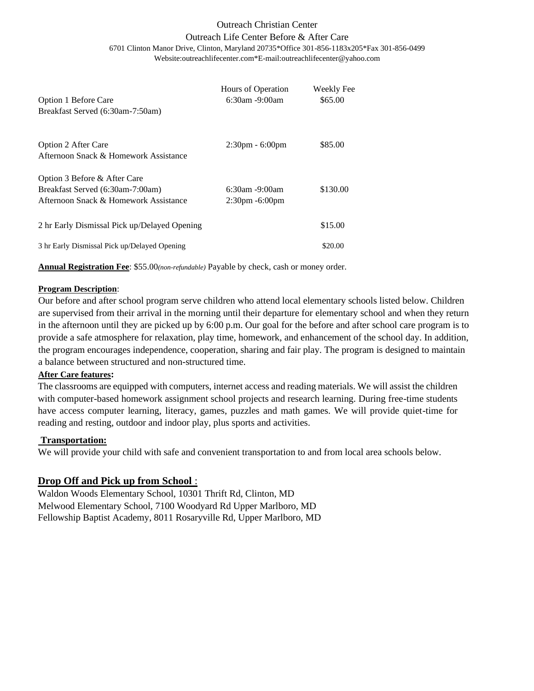## Outreach Christian Center Outreach Life Center Before & After Care 6701 Clinton Manor Drive, Clinton, Maryland 20735\*Office 301-856-1183x205\*Fax 301-856-0499 Website:outreachlifecenter.com\*E-mail:outreachlifecenter@yahoo.com

| Option 1 Before Care<br>Breakfast Served (6:30am-7:50am)                                                  | Hours of Operation<br>$6:30$ am -9:00am   | Weekly Fee<br>\$65.00 |
|-----------------------------------------------------------------------------------------------------------|-------------------------------------------|-----------------------|
| Option 2 After Care<br>Afternoon Snack & Homework Assistance                                              | $2:30 \text{pm} - 6:00 \text{pm}$         | \$85.00               |
| Option 3 Before & After Care<br>Breakfast Served (6:30am-7:00am)<br>Afternoon Snack & Homework Assistance | $6:30$ am -9:00am<br>$2:30$ pm $-6:00$ pm | \$130.00              |
| 2 hr Early Dismissal Pick up/Delayed Opening                                                              |                                           | \$15.00               |
| 3 hr Early Dismissal Pick up/Delayed Opening                                                              |                                           | \$20.00               |

**Annual Registration Fee**: \$55.00*(non-refundable)* Payable by check, cash or money order.

## **Program Description**:

Our before and after school program serve children who attend local elementary schools listed below. Children are supervised from their arrival in the morning until their departure for elementary school and when they return in the afternoon until they are picked up by 6:00 p.m. Our goal for the before and after school care program is to provide a safe atmosphere for relaxation, play time, homework, and enhancement of the school day. In addition, the program encourages independence, cooperation, sharing and fair play. The program is designed to maintain a balance between structured and non-structured time.

## **After Care features:**

The classrooms are equipped with computers, internet access and reading materials. We will assist the children with computer-based homework assignment school projects and research learning. During free-time students have access computer learning, literacy, games, puzzles and math games. We will provide quiet-time for reading and resting, outdoor and indoor play, plus sports and activities.

## **Transportation:**

We will provide your child with safe and convenient transportation to and from local area schools below.

## **Drop Off and Pick up from School** :

Waldon Woods Elementary School, 10301 Thrift Rd, Clinton, MD Melwood Elementary School, 7100 Woodyard Rd Upper Marlboro, MD Fellowship Baptist Academy, 8011 Rosaryville Rd, Upper Marlboro, MD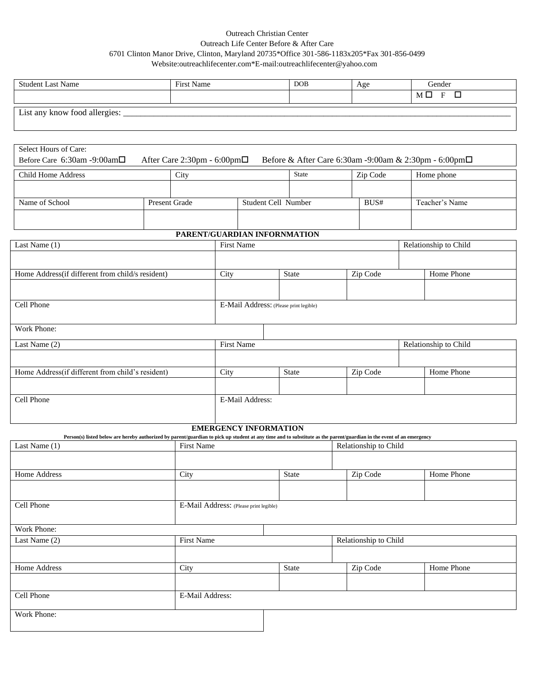## Outreach Christian Center Outreach Life Center Before & After Care 6701 Clinton Manor Drive, Clinton, Maryland 20735\*Office 301-586-1183x205\*Fax 301-856-0499 Website:outreachlifecenter.com\*E-mail:outreachlifecenter@yahoo.com

| <b>Student Last Name</b>                         |               | First Name                  |                                                                                                                                                                                               | <b>DOB</b>                   | Age                   | Gender                                                |  |
|--------------------------------------------------|---------------|-----------------------------|-----------------------------------------------------------------------------------------------------------------------------------------------------------------------------------------------|------------------------------|-----------------------|-------------------------------------------------------|--|
|                                                  |               |                             |                                                                                                                                                                                               |                              |                       | $M \Box F$<br>$\Box$                                  |  |
| List any know food allergies: _____              |               |                             |                                                                                                                                                                                               |                              |                       |                                                       |  |
| Select Hours of Care:                            |               |                             |                                                                                                                                                                                               |                              |                       |                                                       |  |
| Before Care 6:30am -9:00am□                      |               | After Care 2:30pm - 6:00pm□ |                                                                                                                                                                                               |                              |                       | Before & After Care 6:30am -9:00am & 2:30pm - 6:00pm□ |  |
| <b>Child Home Address</b>                        |               | City                        |                                                                                                                                                                                               | <b>State</b>                 | Zip Code              | Home phone                                            |  |
|                                                  |               |                             |                                                                                                                                                                                               |                              |                       |                                                       |  |
| Name of School                                   | Present Grade |                             |                                                                                                                                                                                               | Student Cell Number          | BUS#                  | Teacher's Name                                        |  |
|                                                  |               |                             |                                                                                                                                                                                               |                              |                       |                                                       |  |
|                                                  |               |                             |                                                                                                                                                                                               | PARENT/GUARDIAN INFORNMATION |                       |                                                       |  |
| Last Name (1)                                    |               |                             | <b>First Name</b>                                                                                                                                                                             |                              |                       | Relationship to Child                                 |  |
|                                                  |               |                             |                                                                                                                                                                                               |                              |                       |                                                       |  |
| Home Address(if different from child/s resident) |               |                             | City                                                                                                                                                                                          | <b>State</b>                 | Zip Code              | Home Phone                                            |  |
|                                                  |               |                             |                                                                                                                                                                                               |                              |                       |                                                       |  |
| Cell Phone                                       |               |                             | E-Mail Address: (Please print legible)                                                                                                                                                        |                              |                       |                                                       |  |
|                                                  |               |                             |                                                                                                                                                                                               |                              |                       |                                                       |  |
| Work Phone:                                      |               |                             |                                                                                                                                                                                               |                              |                       |                                                       |  |
| Last Name (2)                                    |               |                             | <b>First Name</b>                                                                                                                                                                             |                              | Relationship to Child |                                                       |  |
|                                                  |               |                             |                                                                                                                                                                                               |                              |                       |                                                       |  |
| Home Address(if different from child's resident) |               |                             | City                                                                                                                                                                                          | State                        | Zip Code              | <b>Home Phone</b>                                     |  |
|                                                  |               |                             |                                                                                                                                                                                               |                              |                       |                                                       |  |
| Cell Phone                                       |               |                             | E-Mail Address:                                                                                                                                                                               |                              |                       |                                                       |  |
|                                                  |               |                             | <b>EMERGENCY INFORMATION</b>                                                                                                                                                                  |                              |                       |                                                       |  |
| Last Name (1)                                    |               | <b>First Name</b>           | Person(s) listed below are hereby authorized by parent/guardian to pick up student at any time and to substitute as the parent/guardian in the event of an emergency<br>Relationship to Child |                              |                       |                                                       |  |
|                                                  |               |                             |                                                                                                                                                                                               |                              |                       |                                                       |  |

| Last Name (1) | <b>FILSU INALITE</b>                   |       | Relationship to Child |            |
|---------------|----------------------------------------|-------|-----------------------|------------|
|               |                                        |       |                       |            |
| Home Address  | City                                   | State | Zip Code              | Home Phone |
|               |                                        |       |                       |            |
| Cell Phone    | E-Mail Address: (Please print legible) |       |                       |            |
| Work Phone:   |                                        |       |                       |            |
| Last Name (2) | First Name                             |       | Relationship to Child |            |
|               |                                        |       |                       |            |
| Home Address  | City                                   | State | Zip Code              | Home Phone |
|               |                                        |       |                       |            |
| Cell Phone    | E-Mail Address:                        |       |                       |            |
| Work Phone:   |                                        |       |                       |            |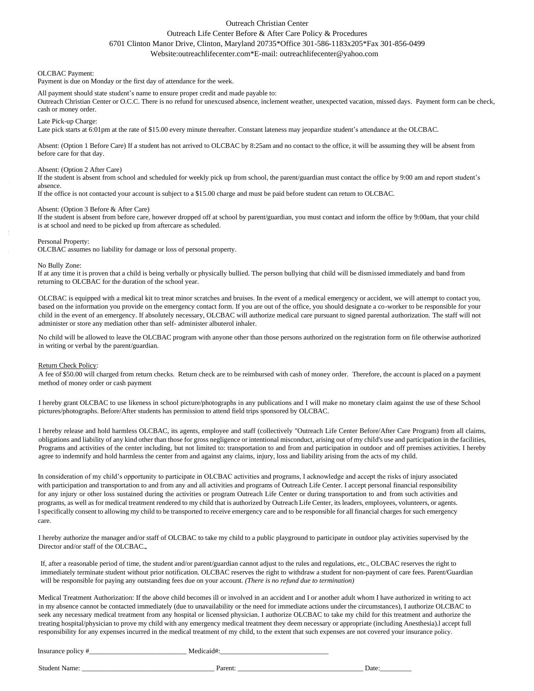### Outreach Christian Center

### Outreach Life Center Before & After Care Policy & Procedures

## 6701 Clinton Manor Drive, Clinton, Maryland 20735\*Office 301-586-1183x205\*Fax 301-856-0499

Website:outreachlifecenter.com\*E-mail: outreachlifecenter@yahoo.com

#### OLCBAC Payment:

Payment is due on Monday or the first day of attendance for the week.

#### All payment should state student's name to ensure proper credit and made payable to:

Outreach Christian Center or O.C.C. There is no refund for unexcused absence, inclement weather, unexpected vacation, missed days. Payment form can be check, cash or money order.

#### Late Pick-up Charge:

Late pick starts at 6:01pm at the rate of \$15.00 every minute thereafter. Constant lateness may jeopardize student's attendance at the OLCBAC.

Absent: (Option 1 Before Care) If a student has not arrived to OLCBAC by 8:25am and no contact to the office, it will be assuming they will be absent from before care for that day.

#### Absent: (Option 2 After Care)

If the student is absent from school and scheduled for weekly pick up from school, the parent/guardian must contact the office by 9:00 am and report student's absence.

If the office is not contacted your account is subject to a \$15.00 charge and must be paid before student can return to OLCBAC.

#### Absent: (Option 3 Before & After Care)

If the student is absent from before care, however dropped off at school by parent/guardian, you must contact and inform the office by 9:00am, that your child is at school and need to be picked up from aftercare as scheduled.

#### Personal Property:

OLCBAC assumes no liability for damage or loss of personal property.

#### No Bully Zone:

If at any time it is proven that a child is being verbally or physically bullied. The person bullying that child will be dismissed immediately and band from returning to OLCBAC for the duration of the school year.

OLCBAC is equipped with a medical kit to treat minor scratches and bruises. In the event of a medical emergency or accident, we will attempt to contact you, based on the information you provide on the emergency contact form. If you are out of the office, you should designate a co-worker to be responsible for your child in the event of an emergency. If absolutely necessary, OLCBAC will authorize medical care pursuant to signed parental authorization. The staff will not administer or store any mediation other than self- administer albuterol inhaler.

No child will be allowed to leave the OLCBAC program with anyone other than those persons authorized on the registration form on file otherwise authorized in writing or verbal by the parent/guardian.

#### Return Check Policy:

A fee of \$50.00 will charged from return checks. Return check are to be reimbursed with cash of money order. Therefore, the account is placed on a payment method of money order or cash payment

I hereby grant OLCBAC to use likeness in school picture/photographs in any publications and I will make no monetary claim against the use of these School pictures/photographs. Before/After students has permission to attend field trips sponsored by OLCBAC.

I hereby release and hold harmless OLCBAC, its agents, employee and staff (collectively "Outreach Life Center Before/After Care Program) from all claims, obligations and liability of any kind other than those for gross negligence or intentional misconduct, arising out of my child's use and participation in the facilities, Programs and activities of the center including, but not limited to: transportation to and from and participation in outdoor and off premises activities. I hereby agree to indemnify and hold harmless the center from and against any claims, injury, loss and liability arising from the acts of my child.

In consideration of my child's opportunity to participate in OLCBAC activities and programs, I acknowledge and accept the risks of injury associated with participation and transportation to and from any and all activities and programs of Outreach Life Center. I accept personal financial responsibility for any injury or other loss sustained during the activities or program Outreach Life Center or during transportation to and from such activities and programs, as well as for medical treatment rendered to my child that is authorized by Outreach Life Center, its leaders, employees, volunteers, or agents. I specifically consent to allowing my child to be transported to receive emergency care and to be responsible for all financial charges for such emergency care.

I hereby authorize the manager and/or staff of OLCBAC to take my child to a public playground to participate in outdoor play activities supervised by the Director and/or staff of the OLCBAC.

If, after a reasonable period of time, the student and/or parent/guardian cannot adjust to the rules and regulations, etc., OLCBAC reserves the right to immediately terminate student without prior notification. OLCBAC reserves the right to withdraw a student for non-payment of care fees. Parent/Guardian will be responsible for paying any outstanding fees due on your account*. (There is no refund due to termination)*

Medical Treatment Authorization: If the above child becomes ill or involved in an accident and I or another adult whom I have authorized in writing to act in my absence cannot be contacted immediately (due to unavailability or the need for immediate actions under the circumstances), I authorize OLCBAC to seek any necessary medical treatment from any hospital or licensed physician. I authorize OLCBAC to take my child for this treatment and authorize the treating hospital/physician to prove my child with any emergency medical treatment they deem necessary or appropriate (including Anesthesia).l accept full responsibility for any expenses incurred in the medical treatment of my child, to the extent that such expenses are not covered your insurance policy.

| Insurance policy # |  | Medicaid#: |
|--------------------|--|------------|
|                    |  |            |

Student Name: \_\_\_\_\_\_\_\_\_\_\_\_\_\_\_\_\_\_\_\_\_\_\_\_\_\_\_\_\_\_\_\_\_\_\_\_\_\_ Parent: \_\_\_\_\_\_\_\_\_\_\_\_\_\_\_\_\_\_\_\_\_\_\_\_\_\_\_\_\_\_\_\_\_\_\_\_ Date:\_\_\_\_\_\_\_\_\_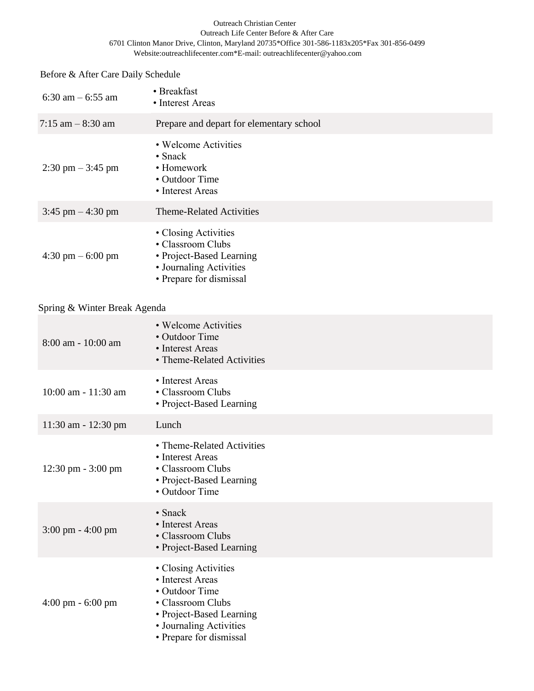### Outreach Christian Center Outreach Life Center Before & After Care 6701 Clinton Manor Drive, Clinton, Maryland 20735\*Office 301-586-1183x205\*Fax 301-856-0499 Website:outreachlifecenter.com\*E-mail: outreachlifecenter@yahoo.com

# Before & After Care Daily Schedule

| 6:30 am $-$ 6:55 am                 | • Breakfast<br>• Interest Areas                                                                                             |
|-------------------------------------|-----------------------------------------------------------------------------------------------------------------------------|
| 7:15 am $-8:30$ am                  | Prepare and depart for elementary school                                                                                    |
| $2:30 \text{ pm} - 3:45 \text{ pm}$ | • Welcome Activities<br>$\cdot$ Snack<br>• Homework<br>• Outdoor Time<br>• Interest Areas                                   |
| $3:45$ pm $-4:30$ pm                | <b>Theme-Related Activities</b>                                                                                             |
| $4:30 \text{ pm} - 6:00 \text{ pm}$ | • Closing Activities<br>• Classroom Clubs<br>• Project-Based Learning<br>• Journaling Activities<br>• Prepare for dismissal |

# Spring & Winter Break Agenda

| 8:00 am - 10:00 am                  | • Welcome Activities<br>• Outdoor Time<br>• Interest Areas<br>• Theme-Related Activities                                                                          |
|-------------------------------------|-------------------------------------------------------------------------------------------------------------------------------------------------------------------|
| 10:00 am - 11:30 am                 | • Interest Areas<br>• Classroom Clubs<br>• Project-Based Learning                                                                                                 |
| 11:30 am - 12:30 pm                 | Lunch                                                                                                                                                             |
| 12:30 pm - 3:00 pm                  | • Theme-Related Activities<br>• Interest Areas<br>• Classroom Clubs<br>• Project-Based Learning<br>• Outdoor Time                                                 |
| $3:00 \text{ pm} - 4:00 \text{ pm}$ | $\cdot$ Snack<br>• Interest Areas<br>• Classroom Clubs<br>• Project-Based Learning                                                                                |
| $4:00 \text{ pm} - 6:00 \text{ pm}$ | • Closing Activities<br>• Interest Areas<br>• Outdoor Time<br>• Classroom Clubs<br>• Project-Based Learning<br>• Journaling Activities<br>• Prepare for dismissal |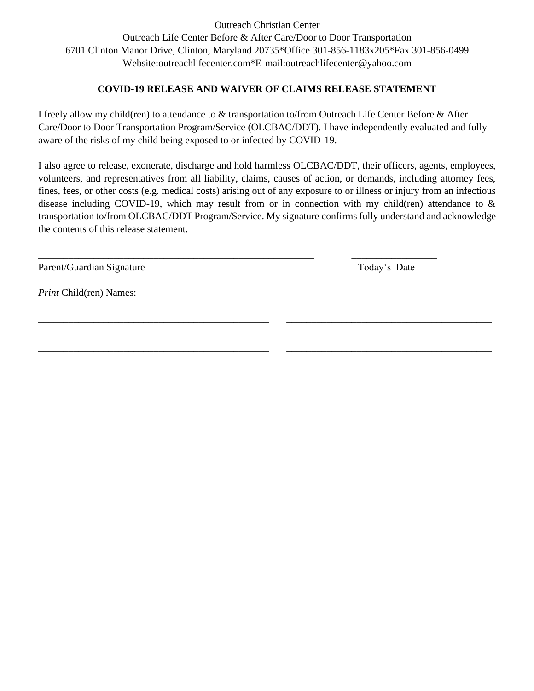Outreach Christian Center Outreach Life Center Before & After Care/Door to Door Transportation 6701 Clinton Manor Drive, Clinton, Maryland 20735\*Office 301-856-1183x205\*Fax 301-856-0499 Website:outreachlifecenter.com\*E-mail:outreachlifecenter@yahoo.com

# **COVID-19 RELEASE AND WAIVER OF CLAIMS RELEASE STATEMENT**

I freely allow my child(ren) to attendance to & transportation to/from Outreach Life Center Before & After Care/Door to Door Transportation Program/Service (OLCBAC/DDT). I have independently evaluated and fully aware of the risks of my child being exposed to or infected by COVID-19.

I also agree to release, exonerate, discharge and hold harmless OLCBAC/DDT, their officers, agents, employees, volunteers, and representatives from all liability, claims, causes of action, or demands, including attorney fees, fines, fees, or other costs (e.g. medical costs) arising out of any exposure to or illness or injury from an infectious disease including COVID-19, which may result from or in connection with my child(ren) attendance to & transportation to/from OLCBAC/DDT Program/Service. My signature confirms fully understand and acknowledge the contents of this release statement.

\_\_\_\_\_\_\_\_\_\_\_\_\_\_\_\_\_\_\_\_\_\_\_\_\_\_\_\_\_\_\_\_\_\_\_\_\_\_\_\_\_\_\_\_\_\_ \_\_\_\_\_\_\_\_\_\_\_\_\_\_\_\_\_\_\_\_\_\_\_\_\_\_\_\_\_\_\_\_\_\_\_\_\_\_\_\_\_

\_\_\_\_\_\_\_\_\_\_\_\_\_\_\_\_\_\_\_\_\_\_\_\_\_\_\_\_\_\_\_\_\_\_\_\_\_\_\_\_\_\_\_\_\_\_ \_\_\_\_\_\_\_\_\_\_\_\_\_\_\_\_\_\_\_\_\_\_\_\_\_\_\_\_\_\_\_\_\_\_\_\_\_\_\_\_\_

\_\_\_\_\_\_\_\_\_\_\_\_\_\_\_\_\_\_\_\_\_\_\_\_\_\_\_\_\_\_\_\_\_\_\_\_\_\_\_\_\_\_\_\_\_\_\_\_\_\_\_\_\_\_\_ \_\_\_\_\_\_\_\_\_\_\_\_\_\_\_\_\_

Parent/Guardian Signature Today's Date

*Print* Child(ren) Names: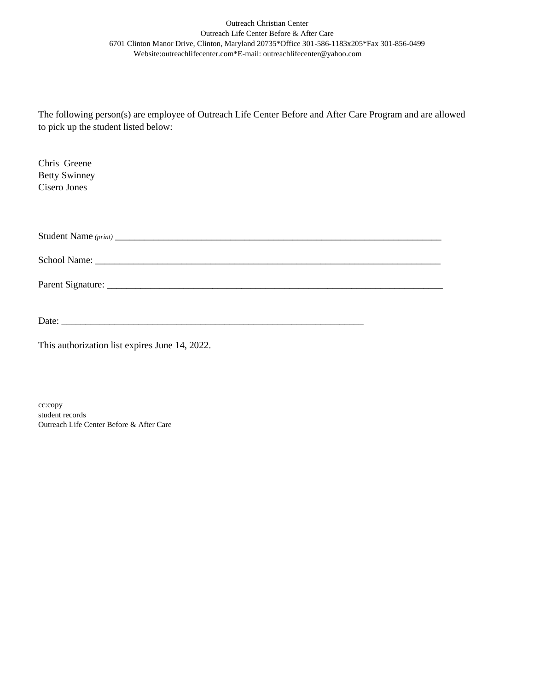### Outreach Christian Center Outreach Life Center Before & After Care 6701 Clinton Manor Drive, Clinton, Maryland 20735\*Office 301-586-1183x205\*Fax 301-856-0499 Website:outreachlifecenter.com\*E-mail: outreachlifecenter@yahoo.com

The following person(s) are employee of Outreach Life Center Before and After Care Program and are allowed to pick up the student listed below:

| Chris Greene<br><b>Betty Swinney</b><br>Cisero Jones |  |
|------------------------------------------------------|--|
|                                                      |  |
|                                                      |  |
|                                                      |  |

 $Date:$ 

This authorization list expires June 14, 2022.

cc:copy student records Outreach Life Center Before & After Care